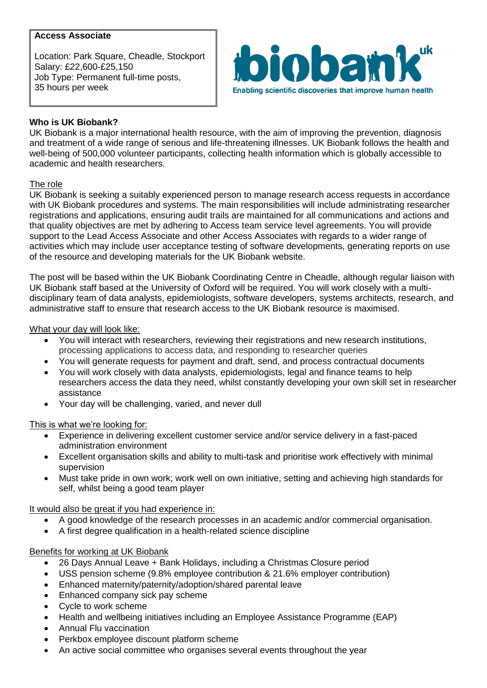# **Access Associate**

Location: Park Square, Cheadle, Stockport Salary: £22,600-£25,150 Job Type: Permanent full-time posts, 35 hours per week



# **Who is UK Biobank?**

UK Biobank is a major international health resource, with the aim of improving the prevention, diagnosis and treatment of a wide range of serious and life-threatening illnesses. UK Biobank follows the health and well-being of 500,000 volunteer participants, collecting health information which is globally accessible to academic and health researchers.

### The role

UK Biobank is seeking a suitably experienced person to manage research access requests in accordance with UK Biobank procedures and systems. The main responsibilities will include administrating researcher registrations and applications, ensuring audit trails are maintained for all communications and actions and that quality objectives are met by adhering to Access team service level agreements. You will provide support to the Lead Access Associate and other Access Associates with regards to a wider range of activities which may include user acceptance testing of software developments, generating reports on use of the resource and developing materials for the UK Biobank website.

The post will be based within the UK Biobank Coordinating Centre in Cheadle, although regular liaison with UK Biobank staff based at the University of Oxford will be required. You will work closely with a multidisciplinary team of data analysts, epidemiologists, software developers, systems architects, research, and administrative staff to ensure that research access to the UK Biobank resource is maximised.

#### What your day will look like:

- You will interact with researchers, reviewing their registrations and new research institutions, processing applications to access data, and responding to researcher queries
- You will generate requests for payment and draft, send, and process contractual documents
- You will work closely with data analysts, epidemiologists, legal and finance teams to help researchers access the data they need, whilst constantly developing your own skill set in researcher assistance
- Your day will be challenging, varied, and never dull

### This is what we're looking for:

- Experience in delivering excellent customer service and/or service delivery in a fast-paced administration environment
- Excellent organisation skills and ability to multi-task and prioritise work effectively with minimal supervision
- Must take pride in own work; work well on own initiative, setting and achieving high standards for self, whilst being a good team player

### It would also be great if you had experience in:

- A good knowledge of the research processes in an academic and/or commercial organisation.
- A first degree qualification in a health-related science discipline

### Benefits for working at UK Biobank

- 26 Days Annual Leave + Bank Holidays, including a Christmas Closure period
- USS pension scheme (9.8% employee contribution & 21.6% employer contribution)
- Enhanced maternity/paternity/adoption/shared parental leave
- Enhanced company sick pay scheme
- Cycle to work scheme
- Health and wellbeing initiatives including an Employee Assistance Programme (EAP)
- Annual Flu vaccination
- Perkbox employee discount platform scheme
- An active social committee who organises several events throughout the year